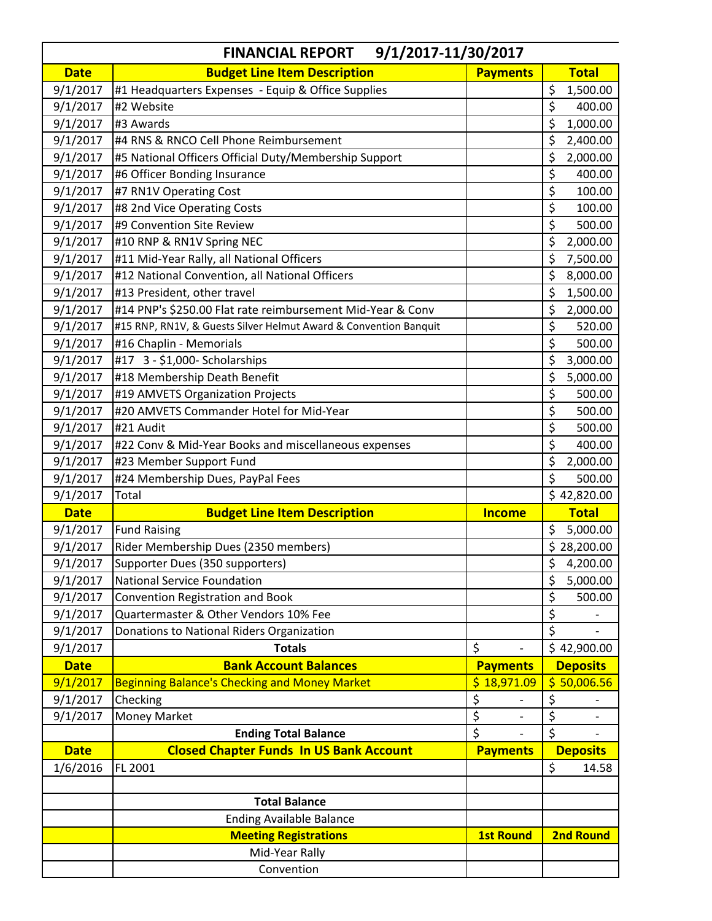| 9/1/2017-11/30/2017<br><b>FINANCIAL REPORT</b> |                                                                  |                                |                                 |
|------------------------------------------------|------------------------------------------------------------------|--------------------------------|---------------------------------|
| <b>Date</b>                                    | <b>Budget Line Item Description</b>                              | <b>Payments</b>                | <b>Total</b>                    |
| 9/1/2017                                       | #1 Headquarters Expenses - Equip & Office Supplies               |                                | \$<br>1,500.00                  |
| 9/1/2017                                       | #2 Website                                                       |                                | \$<br>400.00                    |
| 9/1/2017                                       | #3 Awards                                                        |                                | \$<br>1,000.00                  |
| 9/1/2017                                       | #4 RNS & RNCO Cell Phone Reimbursement                           |                                | \$<br>2,400.00                  |
| 9/1/2017                                       | #5 National Officers Official Duty/Membership Support            |                                | \$<br>2,000.00                  |
| 9/1/2017                                       | #6 Officer Bonding Insurance                                     |                                | \$<br>400.00                    |
| 9/1/2017                                       | #7 RN1V Operating Cost                                           |                                | \$<br>100.00                    |
| 9/1/2017                                       | #8 2nd Vice Operating Costs                                      |                                | \$<br>100.00                    |
| 9/1/2017                                       | #9 Convention Site Review                                        |                                | \$<br>500.00                    |
| 9/1/2017                                       | #10 RNP & RN1V Spring NEC                                        |                                | \$<br>2,000.00                  |
| 9/1/2017                                       | #11 Mid-Year Rally, all National Officers                        |                                | \$<br>7,500.00                  |
| 9/1/2017                                       | #12 National Convention, all National Officers                   |                                | \$<br>8,000.00                  |
| 9/1/2017                                       | #13 President, other travel                                      |                                | \$<br>1,500.00                  |
| 9/1/2017                                       | #14 PNP's \$250.00 Flat rate reimbursement Mid-Year & Conv       |                                | \$<br>2,000.00                  |
| 9/1/2017                                       | #15 RNP, RN1V, & Guests Silver Helmut Award & Convention Banquit |                                | \$<br>520.00                    |
| 9/1/2017                                       | #16 Chaplin - Memorials                                          |                                | \$<br>500.00                    |
| 9/1/2017                                       | #17 3 - \$1,000- Scholarships                                    |                                | \$<br>3,000.00                  |
| 9/1/2017                                       | #18 Membership Death Benefit                                     |                                | \$<br>5,000.00                  |
| 9/1/2017                                       | #19 AMVETS Organization Projects                                 |                                | \$<br>500.00                    |
| 9/1/2017                                       | #20 AMVETS Commander Hotel for Mid-Year                          |                                | \$<br>500.00                    |
| 9/1/2017                                       | #21 Audit                                                        |                                | \$<br>500.00                    |
| 9/1/2017                                       | #22 Conv & Mid-Year Books and miscellaneous expenses             |                                | \$<br>400.00                    |
| 9/1/2017                                       | #23 Member Support Fund                                          |                                | \$<br>2,000.00                  |
| 9/1/2017                                       | #24 Membership Dues, PayPal Fees                                 |                                | \$<br>500.00                    |
| 9/1/2017                                       | Total                                                            |                                | \$42,820.00                     |
| <b>Date</b>                                    | <b>Budget Line Item Description</b>                              | <b>Income</b>                  | <b>Total</b>                    |
| 9/1/2017                                       | <b>Fund Raising</b>                                              |                                | \$<br>5,000.00                  |
| 9/1/2017                                       | Rider Membership Dues (2350 members)                             |                                | \$28,200.00                     |
| 9/1/2017                                       | Supporter Dues (350 supporters)                                  |                                | \$<br>4,200.00                  |
| 9/1/2017                                       | <b>National Service Foundation</b>                               |                                | \$<br>5,000.00                  |
| 9/1/2017                                       | Convention Registration and Book                                 |                                | \$<br>500.00                    |
| 9/1/2017                                       | Quartermaster & Other Vendors 10% Fee                            |                                | \$                              |
| 9/1/2017                                       | Donations to National Riders Organization                        |                                | \$                              |
| 9/1/2017                                       | <b>Totals</b>                                                    | $\zeta$                        | \$42,900.00                     |
| <b>Date</b>                                    | <b>Bank Account Balances</b>                                     | <b>Payments</b>                | <b>Deposits</b>                 |
| 9/1/2017                                       | <b>Beginning Balance's Checking and Money Market</b>             | \$18,971.09                    | \$50,006.56                     |
| 9/1/2017                                       | Checking                                                         | \$                             | \$                              |
| 9/1/2017                                       | <b>Money Market</b>                                              | \$<br>$\overline{\phantom{0}}$ | \$                              |
|                                                | <b>Ending Total Balance</b>                                      | $\overline{\xi}$               | $\overline{\boldsymbol{\zeta}}$ |
| <b>Date</b>                                    | <b>Closed Chapter Funds In US Bank Account</b>                   | <b>Payments</b>                | <b>Deposits</b>                 |
| 1/6/2016                                       | FL 2001                                                          |                                | \$<br>14.58                     |
|                                                |                                                                  |                                |                                 |
|                                                | <b>Total Balance</b>                                             |                                |                                 |
|                                                | <b>Ending Available Balance</b>                                  |                                |                                 |
|                                                | <b>Meeting Registrations</b>                                     | <b>1st Round</b>               | <b>2nd Round</b>                |
|                                                | Mid-Year Rally                                                   |                                |                                 |
|                                                | Convention                                                       |                                |                                 |